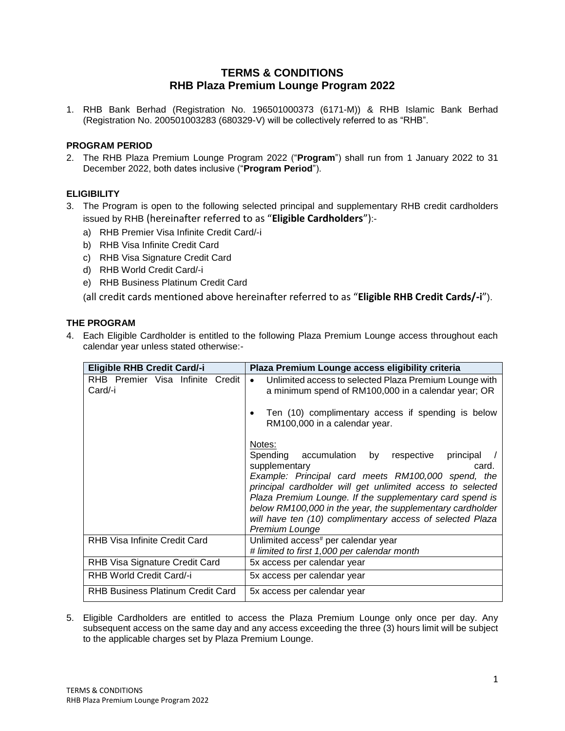## **TERMS & CONDITIONS RHB Plaza Premium Lounge Program 2022**

1. RHB Bank Berhad (Registration No. 196501000373 (6171-M)) & RHB Islamic Bank Berhad (Registration No. 200501003283 (680329-V) will be collectively referred to as "RHB".

### **PROGRAM PERIOD**

2. The RHB Plaza Premium Lounge Program 2022 ("**Program**") shall run from 1 January 2022 to 31 December 2022, both dates inclusive ("**Program Period**").

### **ELIGIBILITY**

- 3. The Program is open to the following selected principal and supplementary RHB credit cardholders issued by RHB (hereinafter referred to as "**Eligible Cardholders**"):
	- a) RHB Premier Visa Infinite Credit Card/-i
	- b) RHB Visa Infinite Credit Card
	- c) RHB Visa Signature Credit Card
	- d) RHB World Credit Card/-i
	- e) RHB Business Platinum Credit Card
	- (all credit cards mentioned above hereinafter referred to as "**Eligible RHB Credit Cards/-i**").

#### **THE PROGRAM**

4. Each Eligible Cardholder is entitled to the following Plaza Premium Lounge access throughout each calendar year unless stated otherwise:-

| <b>Eligible RHB Credit Card/-i</b>          | Plaza Premium Lounge access eligibility criteria                                                                                                                                                                                                                                                                                                                                                                                                                                                                                                                                                                                      |
|---------------------------------------------|---------------------------------------------------------------------------------------------------------------------------------------------------------------------------------------------------------------------------------------------------------------------------------------------------------------------------------------------------------------------------------------------------------------------------------------------------------------------------------------------------------------------------------------------------------------------------------------------------------------------------------------|
| RHB Premier Visa Infinite Credit<br>Card/-i | Unlimited access to selected Plaza Premium Lounge with<br>$\bullet$<br>a minimum spend of RM100,000 in a calendar year; OR<br>Ten (10) complimentary access if spending is below<br>RM100,000 in a calendar year.<br>Notes:<br>Spending accumulation by respective<br>principal<br>supplementary<br>card.<br>Example: Principal card meets RM100,000 spend, the<br>principal cardholder will get unlimited access to selected<br>Plaza Premium Lounge. If the supplementary card spend is<br>below RM100,000 in the year, the supplementary cardholder<br>will have ten (10) complimentary access of selected Plaza<br>Premium Lounge |
| <b>RHB Visa Infinite Credit Card</b>        | Unlimited access <sup>#</sup> per calendar year<br># limited to first 1,000 per calendar month                                                                                                                                                                                                                                                                                                                                                                                                                                                                                                                                        |
| RHB Visa Signature Credit Card              | 5x access per calendar year                                                                                                                                                                                                                                                                                                                                                                                                                                                                                                                                                                                                           |
| RHB World Credit Card/-i                    | 5x access per calendar year                                                                                                                                                                                                                                                                                                                                                                                                                                                                                                                                                                                                           |
| <b>RHB Business Platinum Credit Card</b>    | 5x access per calendar year                                                                                                                                                                                                                                                                                                                                                                                                                                                                                                                                                                                                           |

5. Eligible Cardholders are entitled to access the Plaza Premium Lounge only once per day. Any subsequent access on the same day and any access exceeding the three (3) hours limit will be subject to the applicable charges set by Plaza Premium Lounge.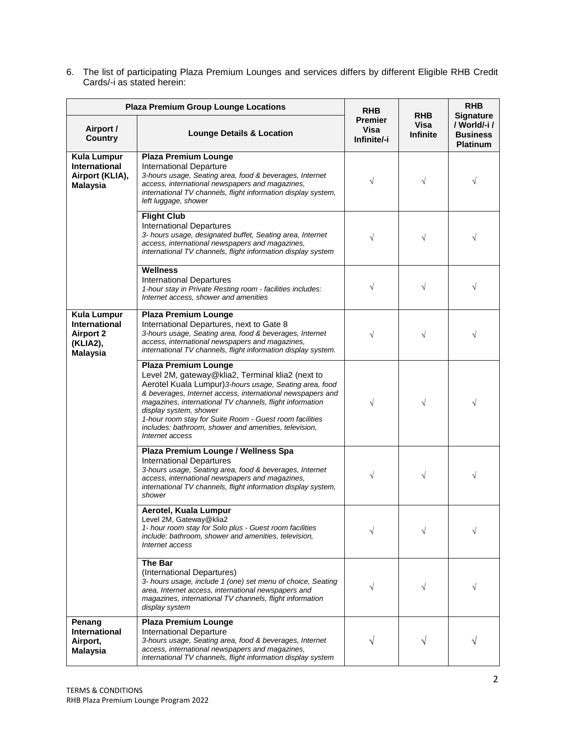6. The list of participating Plaza Premium Lounges and services differs by different Eligible RHB Credit Cards/-i as stated herein:

| <b>Plaza Premium Group Lounge Locations</b>                                                   |                                                                                                                                                                                                                                                                                                                                                                                                                                       | <b>RHB</b>                                   | <b>RHB</b>              | <b>RHB</b><br><b>Signature</b>                     |
|-----------------------------------------------------------------------------------------------|---------------------------------------------------------------------------------------------------------------------------------------------------------------------------------------------------------------------------------------------------------------------------------------------------------------------------------------------------------------------------------------------------------------------------------------|----------------------------------------------|-------------------------|----------------------------------------------------|
| Airport /<br><b>Country</b>                                                                   | <b>Lounge Details &amp; Location</b>                                                                                                                                                                                                                                                                                                                                                                                                  | <b>Premier</b><br><b>Visa</b><br>Infinite/-i | Visa<br><b>Infinite</b> | / World/-i /<br><b>Business</b><br><b>Platinum</b> |
| <b>Kula Lumpur</b><br><b>International</b><br>Airport (KLIA),<br><b>Malaysia</b>              | <b>Plaza Premium Lounge</b><br>International Departure<br>3-hours usage, Seating area, food & beverages, Internet<br>access, international newspapers and magazines,<br>international TV channels, flight information display system,<br>left luggage, shower                                                                                                                                                                         | $\sqrt{}$                                    | $\sqrt{ }$              | $\sqrt{}$                                          |
|                                                                                               | <b>Flight Club</b><br><b>International Departures</b><br>3- hours usage, designated buffet, Seating area, Internet<br>access, international newspapers and magazines,<br>international TV channels, flight information display system                                                                                                                                                                                                 | $\sqrt{}$                                    | V                       |                                                    |
|                                                                                               | <b>Wellness</b><br><b>International Departures</b><br>1-hour stay in Private Resting room - facilities includes:<br>Internet access, shower and amenities                                                                                                                                                                                                                                                                             | $\sqrt{}$                                    | $\sqrt{}$               | V                                                  |
| <b>Kula Lumpur</b><br><b>International</b><br><b>Airport 2</b><br>(KLIA2),<br><b>Malaysia</b> | <b>Plaza Premium Lounge</b><br>International Departures, next to Gate 8<br>3-hours usage, Seating area, food & beverages, Internet<br>access, international newspapers and magazines,<br>international TV channels, flight information display system.                                                                                                                                                                                | $\sqrt{}$                                    | $\sqrt{}$               | V                                                  |
|                                                                                               | <b>Plaza Premium Lounge</b><br>Level 2M, gateway@klia2, Terminal klia2 (next to<br>Aerotel Kuala Lumpur) 3-hours usage, Seating area, food<br>& beverages, Internet access, international newspapers and<br>magazines, international TV channels, flight information<br>display system, shower<br>1-hour room stay for Suite Room - Guest room facilities<br>includes: bathroom, shower and amenities, television,<br>Internet access | $\sqrt{}$                                    | $\sqrt{}$               | V                                                  |
|                                                                                               | Plaza Premium Lounge / Wellness Spa<br><b>International Departures</b><br>3-hours usage, Seating area, food & beverages, Internet<br>access, international newspapers and magazines,<br>international TV channels, flight information display system,<br>shower                                                                                                                                                                       | V                                            | $\sqrt{}$               |                                                    |
|                                                                                               | Aerotel, Kuala Lumpur<br>Level 2M, Gateway@klia2<br>1- hour room stay for Solo plus - Guest room facilities<br>include: bathroom, shower and amenities, television,<br>Internet access                                                                                                                                                                                                                                                | V                                            | V                       |                                                    |
|                                                                                               | <b>The Bar</b><br>(International Departures)<br>3- hours usage, include 1 (one) set menu of choice, Seating<br>area, Internet access, international newspapers and<br>magazines, international TV channels, flight information<br>display system                                                                                                                                                                                      | V                                            |                         |                                                    |
| Penang<br><b>International</b><br>Airport,<br>Malaysia                                        | <b>Plaza Premium Lounge</b><br>International Departure<br>3-hours usage, Seating area, food & beverages, Internet<br>access, international newspapers and magazines,<br>international TV channels, flight information display system                                                                                                                                                                                                  | V                                            |                         |                                                    |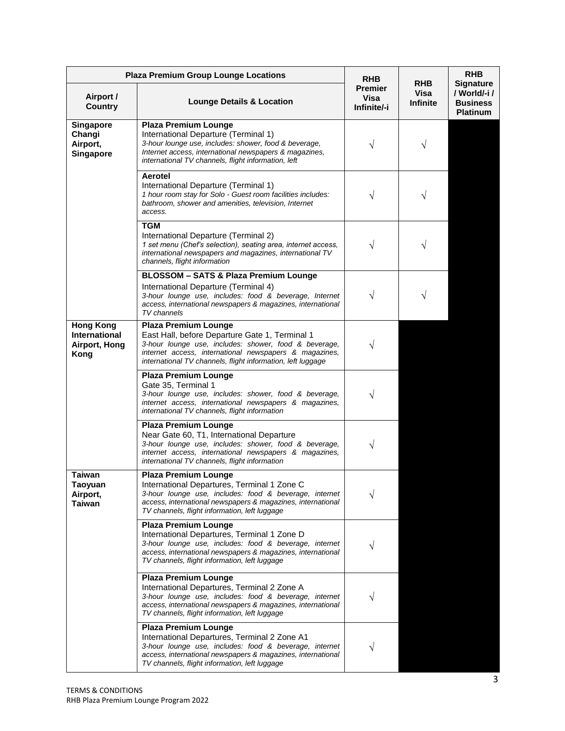| <b>Plaza Premium Group Lounge Locations</b>                       | <b>RHB</b>                                                                                                                                                                                                                                                      |                                       | <b>RHB</b>                            |                                                                        |
|-------------------------------------------------------------------|-----------------------------------------------------------------------------------------------------------------------------------------------------------------------------------------------------------------------------------------------------------------|---------------------------------------|---------------------------------------|------------------------------------------------------------------------|
| Airport /<br><b>Country</b>                                       | <b>Lounge Details &amp; Location</b>                                                                                                                                                                                                                            | <b>Premier</b><br>Visa<br>Infinite/-i | <b>RHB</b><br>Visa<br><b>Infinite</b> | <b>Signature</b><br>/ World/-i /<br><b>Business</b><br><b>Platinum</b> |
| Singapore<br>Changi<br>Airport,<br><b>Singapore</b>               | <b>Plaza Premium Lounge</b><br>International Departure (Terminal 1)<br>3-hour lounge use, includes: shower, food & beverage,<br>Internet access, international newspapers & magazines,<br>international TV channels, flight information, left                   | V                                     | V                                     |                                                                        |
|                                                                   | <b>Aerotel</b><br>International Departure (Terminal 1)<br>1 hour room stay for Solo - Guest room facilities includes:<br>bathroom, shower and amenities, television, Internet<br>access.                                                                        |                                       |                                       |                                                                        |
|                                                                   | <b>TGM</b><br>International Departure (Terminal 2)<br>1 set menu (Chef's selection), seating area, internet access,<br>international newspapers and magazines, international TV<br>channels, flight information                                                 | V                                     |                                       |                                                                        |
|                                                                   | <b>BLOSSOM - SATS &amp; Plaza Premium Lounge</b><br>International Departure (Terminal 4)<br>3-hour lounge use, includes: food & beverage, Internet<br>access, international newspapers & magazines, international<br>TV channels                                | V                                     |                                       |                                                                        |
| <b>Hong Kong</b><br><b>International</b><br>Airport, Hong<br>Kong | <b>Plaza Premium Lounge</b><br>East Hall, before Departure Gate 1, Terminal 1<br>3-hour lounge use, includes: shower, food & beverage,<br>internet access, international newspapers & magazines,<br>international TV channels, flight information, left luggage | V                                     |                                       |                                                                        |
|                                                                   | <b>Plaza Premium Lounge</b><br>Gate 35, Terminal 1<br>3-hour lounge use, includes: shower, food & beverage,<br>internet access, international newspapers & magazines,<br>international TV channels, flight information                                          | N                                     |                                       |                                                                        |
|                                                                   | <b>Plaza Premium Lounge</b><br>Near Gate 60, T1, International Departure<br>3-hour lounge use, includes: shower, food & beverage,<br>internet access, international newspapers & magazines,<br>international TV channels, flight information                    | V                                     |                                       |                                                                        |
| <b>Taiwan</b><br><b>Taoyuan</b><br>Airport,<br><b>Taiwan</b>      | <b>Plaza Premium Lounge</b><br>International Departures, Terminal 1 Zone C<br>3-hour lounge use, includes: food & beverage, internet<br>access, international newspapers & magazines, international<br>TV channels, flight information, left luggage            |                                       |                                       |                                                                        |
|                                                                   | <b>Plaza Premium Lounge</b><br>International Departures, Terminal 1 Zone D<br>3-hour lounge use, includes: food & beverage, internet<br>access, international newspapers & magazines, international<br>TV channels, flight information, left luggage            |                                       |                                       |                                                                        |
|                                                                   | <b>Plaza Premium Lounge</b><br>International Departures, Terminal 2 Zone A<br>3-hour lounge use, includes: food & beverage, internet<br>access, international newspapers & magazines, international<br>TV channels, flight information, left luggage            |                                       |                                       |                                                                        |
|                                                                   | <b>Plaza Premium Lounge</b><br>International Departures, Terminal 2 Zone A1<br>3-hour lounge use, includes: food & beverage, internet<br>access, international newspapers & magazines, international<br>TV channels, flight information, left luggage           |                                       |                                       |                                                                        |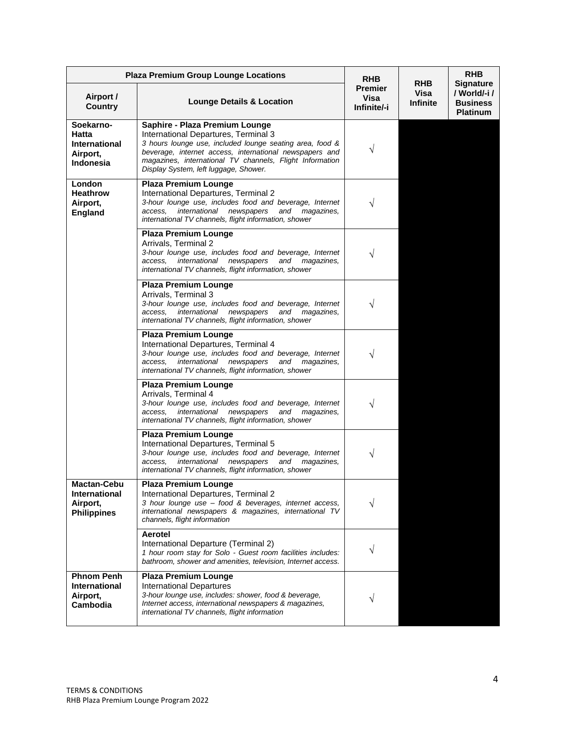| <b>Plaza Premium Group Lounge Locations</b>                                |                                                                                                                                                                                                                                                                                                    | <b>RHB</b>                            |                                       | <b>RHB</b>                                                            |
|----------------------------------------------------------------------------|----------------------------------------------------------------------------------------------------------------------------------------------------------------------------------------------------------------------------------------------------------------------------------------------------|---------------------------------------|---------------------------------------|-----------------------------------------------------------------------|
| Airport /<br><b>Country</b>                                                | <b>Lounge Details &amp; Location</b>                                                                                                                                                                                                                                                               | <b>Premier</b><br>Visa<br>Infinite/-i | <b>RHB</b><br>Visa<br><b>Infinite</b> | <b>Signature</b><br>/ World/-i/<br><b>Business</b><br><b>Platinum</b> |
| Soekarno-<br>Hatta<br><b>International</b><br>Airport,<br><b>Indonesia</b> | Saphire - Plaza Premium Lounge<br>International Departures, Terminal 3<br>3 hours lounge use, included lounge seating area, food &<br>beverage, internet access, international newspapers and<br>magazines, international TV channels, Flight Information<br>Display System, left luggage, Shower. | V                                     |                                       |                                                                       |
| London<br><b>Heathrow</b><br>Airport,<br><b>England</b>                    | <b>Plaza Premium Lounge</b><br>International Departures, Terminal 2<br>3-hour lounge use, includes food and beverage, Internet<br>international<br>access.<br>newspapers<br>and<br>magazines,<br>international TV channels, flight information, shower                                             |                                       |                                       |                                                                       |
|                                                                            | <b>Plaza Premium Lounge</b><br>Arrivals, Terminal 2<br>3-hour lounge use, includes food and beverage, Internet<br>international newspapers<br>and magazines,<br>access.<br>international TV channels, flight information, shower                                                                   |                                       |                                       |                                                                       |
|                                                                            | <b>Plaza Premium Lounge</b><br>Arrivals, Terminal 3<br>3-hour lounge use, includes food and beverage, Internet<br>international<br>access.<br>newspapers<br>and<br>magazines,<br>international TV channels, flight information, shower                                                             | V                                     |                                       |                                                                       |
|                                                                            | <b>Plaza Premium Lounge</b><br>International Departures, Terminal 4<br>3-hour lounge use, includes food and beverage, Internet<br>international<br>newspapers<br>access.<br>and<br>magazines,<br>international TV channels, flight information, shower                                             |                                       |                                       |                                                                       |
|                                                                            | <b>Plaza Premium Lounge</b><br>Arrivals, Terminal 4<br>3-hour lounge use, includes food and beverage, Internet<br>international<br>and<br>access.<br>newspapers<br>magazines,<br>international TV channels, flight information, shower                                                             | V                                     |                                       |                                                                       |
|                                                                            | <b>Plaza Premium Lounge</b><br>International Departures, Terminal 5<br>3-hour lounge use, includes food and beverage, Internet<br>international<br>newspapers<br>and<br>magazines,<br>access.<br>international TV channels, flight information, shower                                             |                                       |                                       |                                                                       |
| <b>Mactan-Cebu</b><br>International<br>Airport,<br><b>Philippines</b>      | <b>Plaza Premium Lounge</b><br>International Departures, Terminal 2<br>3 hour lounge use - food & beverages, internet access,<br>international newspapers & magazines, international TV<br>channels, flight information                                                                            | V                                     |                                       |                                                                       |
|                                                                            | Aerotel<br>International Departure (Terminal 2)<br>1 hour room stay for Solo - Guest room facilities includes:<br>bathroom, shower and amenities, television, Internet access.                                                                                                                     | V                                     |                                       |                                                                       |
| <b>Phnom Penh</b><br>International<br>Airport,<br>Cambodia                 | <b>Plaza Premium Lounge</b><br><b>International Departures</b><br>3-hour lounge use, includes: shower, food & beverage,<br>Internet access, international newspapers & magazines,<br>international TV channels, flight information                                                                 | V                                     |                                       |                                                                       |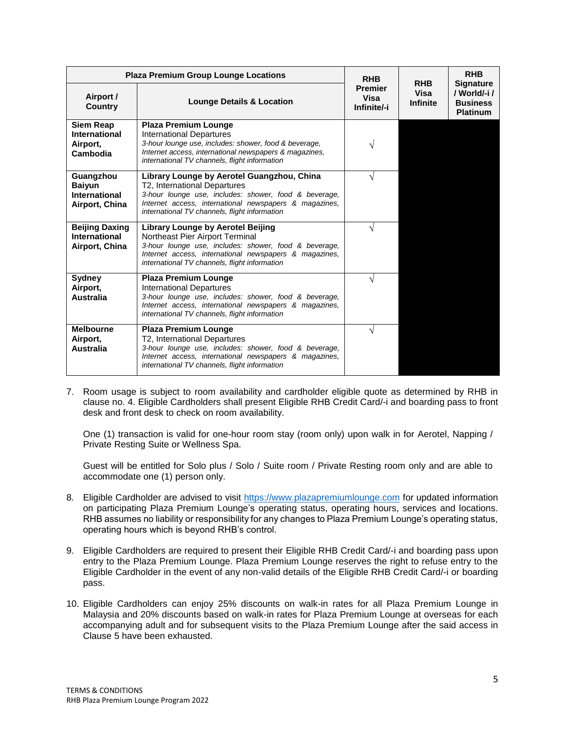|                                                               | <b>Plaza Premium Group Lounge Locations</b><br><b>RHB</b>                                                                                                                                                                                      |                                       | <b>RHB</b>              | <b>RHB</b>                                                            |
|---------------------------------------------------------------|------------------------------------------------------------------------------------------------------------------------------------------------------------------------------------------------------------------------------------------------|---------------------------------------|-------------------------|-----------------------------------------------------------------------|
| Airport /<br><b>Country</b>                                   | <b>Lounge Details &amp; Location</b>                                                                                                                                                                                                           | <b>Premier</b><br>Visa<br>Infinite/-i | Visa<br><b>Infinite</b> | <b>Signature</b><br>/ World/-i/<br><b>Business</b><br><b>Platinum</b> |
| <b>Siem Reap</b><br>International<br>Airport,<br>Cambodia     | <b>Plaza Premium Lounge</b><br><b>International Departures</b><br>3-hour lounge use, includes: shower, food & beverage,<br>Internet access, international newspapers & magazines,<br>international TV channels, flight information             | ٦                                     |                         |                                                                       |
| Guangzhou<br><b>Baiyun</b><br>International<br>Airport, China | Library Lounge by Aerotel Guangzhou, China<br>T2, International Departures<br>3-hour lounge use, includes: shower, food & beverage,<br>Internet access, international newspapers & magazines,<br>international TV channels, flight information | V                                     |                         |                                                                       |
| <b>Beijing Daxing</b><br>International<br>Airport, China      | Library Lounge by Aerotel Beijing<br>Northeast Pier Airport Terminal<br>3-hour lounge use, includes: shower, food & beverage,<br>Internet access, international newspapers & magazines,<br>international TV channels, flight information       | N                                     |                         |                                                                       |
| Sydney<br>Airport,<br><b>Australia</b>                        | <b>Plaza Premium Lounge</b><br><b>International Departures</b><br>3-hour lounge use, includes: shower, food & beverage,<br>Internet access, international newspapers & magazines,<br>international TV channels, flight information             | ٦                                     |                         |                                                                       |
| <b>Melbourne</b><br>Airport,<br>Australia                     | <b>Plaza Premium Lounge</b><br>T2, International Departures<br>3-hour lounge use, includes: shower, food & beverage,<br>Internet access, international newspapers & magazines,<br>international TV channels, flight information                | N                                     |                         |                                                                       |

7. Room usage is subject to room availability and cardholder eligible quote as determined by RHB in clause no. 4. Eligible Cardholders shall present Eligible RHB Credit Card/-i and boarding pass to front desk and front desk to check on room availability.

One (1) transaction is valid for one-hour room stay (room only) upon walk in for Aerotel, Napping / Private Resting Suite or Wellness Spa.

Guest will be entitled for Solo plus / Solo / Suite room / Private Resting room only and are able to accommodate one (1) person only.

- 8. Eligible Cardholder are advised to visit [https://www.plazapremiumlounge.com](https://www.plazapremiumlounge.com/) for updated information on participating Plaza Premium Lounge's operating status, operating hours, services and locations. RHB assumes no liability or responsibility for any changes to Plaza Premium Lounge's operating status, operating hours which is beyond RHB's control.
- 9. Eligible Cardholders are required to present their Eligible RHB Credit Card/-i and boarding pass upon entry to the Plaza Premium Lounge. Plaza Premium Lounge reserves the right to refuse entry to the Eligible Cardholder in the event of any non-valid details of the Eligible RHB Credit Card/-i or boarding pass.
- 10. Eligible Cardholders can enjoy 25% discounts on walk-in rates for all Plaza Premium Lounge in Malaysia and 20% discounts based on walk-in rates for Plaza Premium Lounge at overseas for each accompanying adult and for subsequent visits to the Plaza Premium Lounge after the said access in Clause 5 have been exhausted.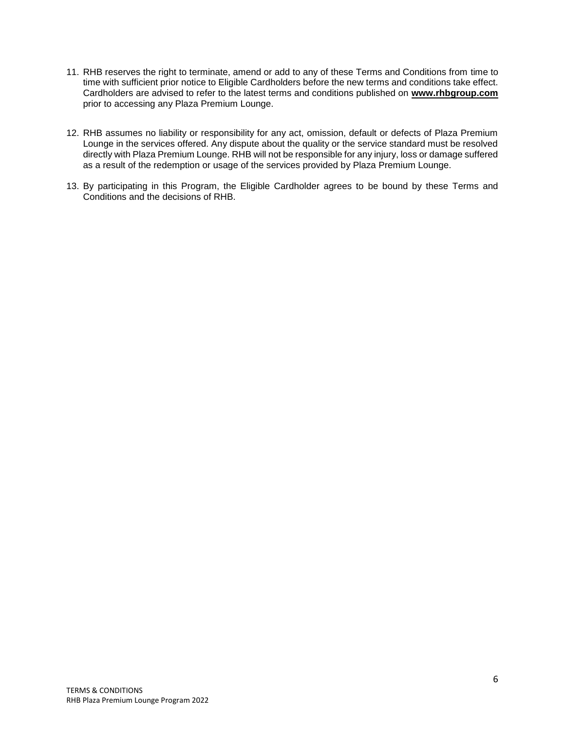- 11. RHB reserves the right to terminate, amend or add to any of these Terms and Conditions from time to time with sufficient prior notice to Eligible Cardholders before the new terms and conditions take effect. Cardholders are advised to refer to the latest terms and conditions published on **[www.rhbgroup.com](http://www.rhbgroup.com/)** prior to accessing any Plaza Premium Lounge.
- 12. RHB assumes no liability or responsibility for any act, omission, default or defects of Plaza Premium Lounge in the services offered. Any dispute about the quality or the service standard must be resolved directly with Plaza Premium Lounge. RHB will not be responsible for any injury, loss or damage suffered as a result of the redemption or usage of the services provided by Plaza Premium Lounge.
- 13. By participating in this Program, the Eligible Cardholder agrees to be bound by these Terms and Conditions and the decisions of RHB.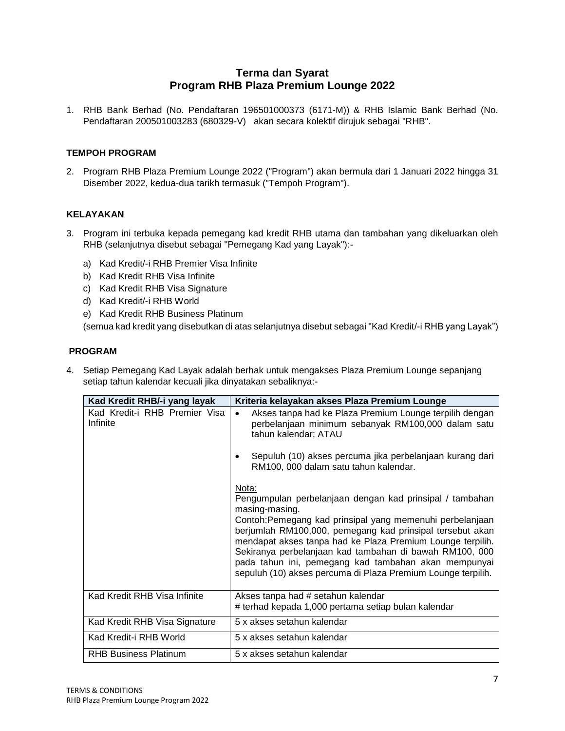# **Terma dan Syarat Program RHB Plaza Premium Lounge 2022**

1. RHB Bank Berhad (No. Pendaftaran 196501000373 (6171-M)) & RHB Islamic Bank Berhad (No. Pendaftaran 200501003283 (680329-V) akan secara kolektif dirujuk sebagai "RHB".

### **TEMPOH PROGRAM**

2. Program RHB Plaza Premium Lounge 2022 ("Program") akan bermula dari 1 Januari 2022 hingga 31 Disember 2022, kedua-dua tarikh termasuk ("Tempoh Program").

### **KELAYAKAN**

- 3. Program ini terbuka kepada pemegang kad kredit RHB utama dan tambahan yang dikeluarkan oleh RHB (selanjutnya disebut sebagai "Pemegang Kad yang Layak"):
	- a) Kad Kredit/-i RHB Premier Visa Infinite
	- b) Kad Kredit RHB Visa Infinite
	- c) Kad Kredit RHB Visa Signature
	- d) Kad Kredit/-i RHB World
	- e) Kad Kredit RHB Business Platinum

(semua kad kredit yang disebutkan di atas selanjutnya disebut sebagai "Kad Kredit/-i RHB yang Layak")

### **PROGRAM**

4. Setiap Pemegang Kad Layak adalah berhak untuk mengakses Plaza Premium Lounge sepanjang setiap tahun kalendar kecuali jika dinyatakan sebaliknya:-

| Kad Kredit RHB/-i yang layak              | Kriteria kelayakan akses Plaza Premium Lounge                                                                                                                                                                                                                                                                                                                                                                                                                  |
|-------------------------------------------|----------------------------------------------------------------------------------------------------------------------------------------------------------------------------------------------------------------------------------------------------------------------------------------------------------------------------------------------------------------------------------------------------------------------------------------------------------------|
| Kad Kredit-i RHB Premier Visa<br>Infinite | Akses tanpa had ke Plaza Premium Lounge terpilih dengan<br>$\bullet$<br>perbelanjaan minimum sebanyak RM100,000 dalam satu<br>tahun kalendar; ATAU<br>Sepuluh (10) akses percuma jika perbelanjaan kurang dari<br>٠                                                                                                                                                                                                                                            |
|                                           | RM100, 000 dalam satu tahun kalendar.                                                                                                                                                                                                                                                                                                                                                                                                                          |
|                                           | Nota:<br>Pengumpulan perbelanjaan dengan kad prinsipal / tambahan<br>masing-masing.<br>Contoh: Pemegang kad prinsipal yang memenuhi perbelanjaan<br>berjumlah RM100,000, pemegang kad prinsipal tersebut akan<br>mendapat akses tanpa had ke Plaza Premium Lounge terpilih.<br>Sekiranya perbelanjaan kad tambahan di bawah RM100, 000<br>pada tahun ini, pemegang kad tambahan akan mempunyai<br>sepuluh (10) akses percuma di Plaza Premium Lounge terpilih. |
| Kad Kredit RHB Visa Infinite              | Akses tanpa had # setahun kalendar<br># terhad kepada 1,000 pertama setiap bulan kalendar                                                                                                                                                                                                                                                                                                                                                                      |
| Kad Kredit RHB Visa Signature             | 5 x akses setahun kalendar                                                                                                                                                                                                                                                                                                                                                                                                                                     |
| Kad Kredit-i RHB World                    | 5 x akses setahun kalendar                                                                                                                                                                                                                                                                                                                                                                                                                                     |
| <b>RHB Business Platinum</b>              | 5 x akses setahun kalendar                                                                                                                                                                                                                                                                                                                                                                                                                                     |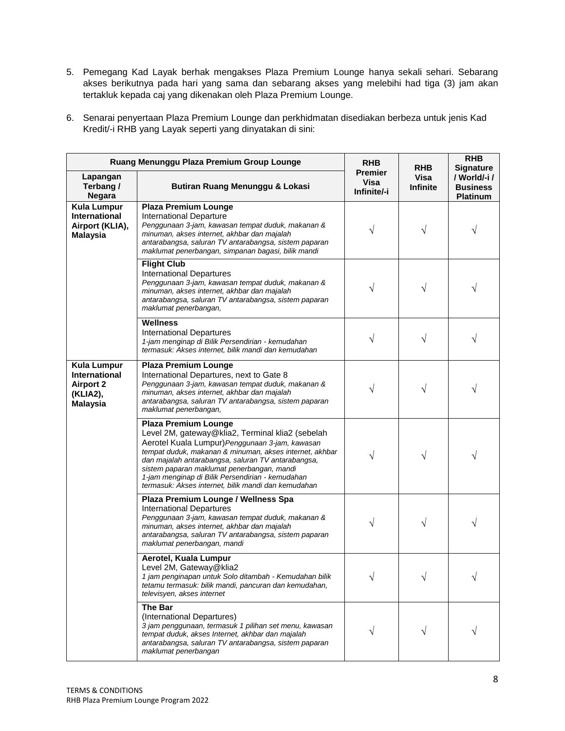5. Pemegang Kad Layak berhak mengakses Plaza Premium Lounge hanya sekali sehari. Sebarang akses berikutnya pada hari yang sama dan sebarang akses yang melebihi had tiga (3) jam akan tertakluk kepada caj yang dikenakan oleh Plaza Premium Lounge.

| 6. Senarai penyertaan Plaza Premium Lounge dan perkhidmatan disediakan berbeza untuk jenis Kad |
|------------------------------------------------------------------------------------------------|
| Kredit/-i RHB yang Layak seperti yang dinyatakan di sini:                                      |

| Ruang Menunggu Plaza Premium Group Lounge                                                     | <b>RHB</b>                                                                                                                                                                                                                                                                                                                                                                                                   | <b>RHB</b>                     | <b>RHB</b><br><b>Signature</b> |                                                   |
|-----------------------------------------------------------------------------------------------|--------------------------------------------------------------------------------------------------------------------------------------------------------------------------------------------------------------------------------------------------------------------------------------------------------------------------------------------------------------------------------------------------------------|--------------------------------|--------------------------------|---------------------------------------------------|
| Lapangan<br>Terbang /<br><b>Negara</b>                                                        | Butiran Ruang Menunggu & Lokasi                                                                                                                                                                                                                                                                                                                                                                              | Premier<br>Visa<br>Infinite/-i | <b>Visa</b><br><b>Infinite</b> | / World/-i/<br><b>Business</b><br><b>Platinum</b> |
| <b>Kula Lumpur</b><br>International<br>Airport (KLIA),<br><b>Malaysia</b>                     | <b>Plaza Premium Lounge</b><br><b>International Departure</b><br>Penggunaan 3-jam, kawasan tempat duduk, makanan &<br>minuman, akses internet, akhbar dan majalah<br>antarabangsa, saluran TV antarabangsa, sistem paparan<br>maklumat penerbangan, simpanan bagasi, bilik mandi                                                                                                                             | V                              | V                              |                                                   |
|                                                                                               | <b>Flight Club</b><br><b>International Departures</b><br>Penggunaan 3-jam, kawasan tempat duduk, makanan &<br>minuman, akses internet, akhbar dan majalah<br>antarabangsa, saluran TV antarabangsa, sistem paparan<br>maklumat penerbangan,                                                                                                                                                                  | V                              | V                              |                                                   |
|                                                                                               | <b>Wellness</b><br><b>International Departures</b><br>1-jam menginap di Bilik Persendirian - kemudahan<br>termasuk: Akses internet, bilik mandi dan kemudahan                                                                                                                                                                                                                                                | V                              |                                |                                                   |
| <b>Kula Lumpur</b><br><b>International</b><br><b>Airport 2</b><br>(KLIA2),<br><b>Malaysia</b> | <b>Plaza Premium Lounge</b><br>International Departures, next to Gate 8<br>Penggunaan 3-jam, kawasan tempat duduk, makanan &<br>minuman, akses internet, akhbar dan majalah<br>antarabangsa, saluran TV antarabangsa, sistem paparan<br>maklumat penerbangan,                                                                                                                                                | V                              |                                |                                                   |
|                                                                                               | <b>Plaza Premium Lounge</b><br>Level 2M, gateway@klia2, Terminal klia2 (sebelah<br>Aerotel Kuala Lumpur) Penggunaan 3-jam, kawasan<br>tempat duduk, makanan & minuman, akses internet, akhbar<br>dan majalah antarabangsa, saluran TV antarabangsa,<br>sistem paparan maklumat penerbangan, mandi<br>1-jam menginap di Bilik Persendirian - kemudahan<br>termasuk: Akses internet, bilik mandi dan kemudahan | V                              |                                |                                                   |
|                                                                                               | Plaza Premium Lounge / Wellness Spa<br><b>International Departures</b><br>Penggunaan 3-jam, kawasan tempat duduk, makanan &<br>minuman, akses internet, akhbar dan majalah<br>antarabangsa, saluran TV antarabangsa, sistem paparan<br>maklumat penerbangan, mandi                                                                                                                                           | V                              |                                |                                                   |
|                                                                                               | Aerotel, Kuala Lumpur<br>Level 2M, Gateway@klia2<br>1 jam penginapan untuk Solo ditambah - Kemudahan bilik<br>tetamu termasuk: bilik mandi, pancuran dan kemudahan,<br>televisyen, akses internet                                                                                                                                                                                                            |                                |                                |                                                   |
|                                                                                               | <b>The Bar</b><br>(International Departures)<br>3 jam penggunaan, termasuk 1 pilihan set menu, kawasan<br>tempat duduk, akses Internet, akhbar dan majalah<br>antarabangsa, saluran TV antarabangsa, sistem paparan<br>maklumat penerbangan                                                                                                                                                                  |                                |                                |                                                   |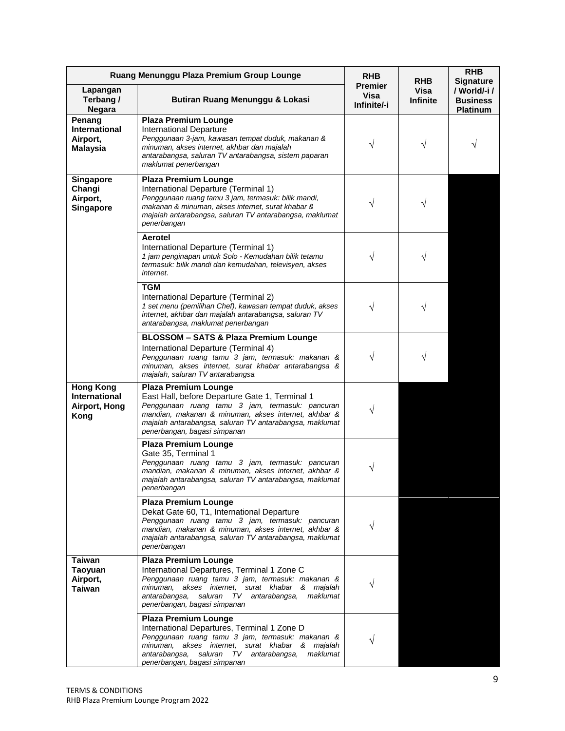|                                                                   | Ruang Menunggu Plaza Premium Group Lounge                                                                                                                                                                                                                                           | <b>RHB</b>                            | <b>RHB</b>              | <b>RHB</b><br><b>Signature</b>                     |
|-------------------------------------------------------------------|-------------------------------------------------------------------------------------------------------------------------------------------------------------------------------------------------------------------------------------------------------------------------------------|---------------------------------------|-------------------------|----------------------------------------------------|
| Lapangan<br>Terbang /<br><b>Negara</b>                            | Butiran Ruang Menunggu & Lokasi                                                                                                                                                                                                                                                     | <b>Premier</b><br>Visa<br>Infinite/-i | Visa<br><b>Infinite</b> | / World/-i /<br><b>Business</b><br><b>Platinum</b> |
| Penang<br>International<br>Airport,<br><b>Malaysia</b>            | <b>Plaza Premium Lounge</b><br><b>International Departure</b><br>Penggunaan 3-jam, kawasan tempat duduk, makanan &<br>minuman, akses internet, akhbar dan majalah<br>antarabangsa, saluran TV antarabangsa, sistem paparan<br>maklumat penerbangan                                  | V                                     | V                       |                                                    |
| <b>Singapore</b><br>Changi<br>Airport,<br>Singapore               | <b>Plaza Premium Lounge</b><br>International Departure (Terminal 1)<br>Penggunaan ruang tamu 3 jam, termasuk: bilik mandi,<br>makanan & minuman, akses internet, surat khabar &<br>majalah antarabangsa, saluran TV antarabangsa, maklumat<br>penerbangan                           |                                       |                         |                                                    |
|                                                                   | Aerotel<br>International Departure (Terminal 1)<br>1 jam penginapan untuk Solo - Kemudahan bilik tetamu<br>termasuk: bilik mandi dan kemudahan, televisyen, akses<br>internet.                                                                                                      | V                                     |                         |                                                    |
|                                                                   | <b>TGM</b><br>International Departure (Terminal 2)<br>1 set menu (pemilihan Chef), kawasan tempat duduk, akses<br>internet, akhbar dan majalah antarabangsa, saluran TV<br>antarabangsa, maklumat penerbangan                                                                       | V                                     |                         |                                                    |
|                                                                   | <b>BLOSSOM - SATS &amp; Plaza Premium Lounge</b><br>International Departure (Terminal 4)<br>Penggunaan ruang tamu 3 jam, termasuk: makanan &<br>minuman, akses internet, surat khabar antarabangsa &<br>majalah, saluran TV antarabangsa                                            | V                                     |                         |                                                    |
| <b>Hong Kong</b><br><b>International</b><br>Airport, Hong<br>Kong | <b>Plaza Premium Lounge</b><br>East Hall, before Departure Gate 1, Terminal 1<br>Penggunaan ruang tamu 3 jam, termasuk: pancuran<br>mandian, makanan & minuman, akses internet, akhbar &<br>majalah antarabangsa, saluran TV antarabangsa, maklumat<br>penerbangan, bagasi simpanan | V                                     |                         |                                                    |
|                                                                   | <b>Plaza Premium Lounge</b><br>Gate 35, Terminal 1<br>Penggunaan ruang tamu 3 jam, termasuk: pancuran<br>mandian, makanan & minuman, akses internet, akhbar &<br>majalah antarabangsa, saluran TV antarabangsa, maklumat<br>penerbangan                                             |                                       |                         |                                                    |
|                                                                   | <b>Plaza Premium Lounge</b><br>Dekat Gate 60, T1, International Departure<br>Penggunaan ruang tamu 3 jam, termasuk: pancuran<br>mandian, makanan & minuman, akses internet, akhbar &<br>majalah antarabangsa, saluran TV antarabangsa, maklumat<br>penerbangan                      | V                                     |                         |                                                    |
| <b>Taiwan</b><br><b>Taoyuan</b><br>Airport,<br><b>Taiwan</b>      | <b>Plaza Premium Lounge</b><br>International Departures, Terminal 1 Zone C<br>Penggunaan ruang tamu 3 jam, termasuk: makanan &<br>minuman, akses internet, surat khabar & majalah<br>antarabangsa,<br>saluran TV antarabangsa, maklumat<br>penerbangan, bagasi simpanan             |                                       |                         |                                                    |
|                                                                   | <b>Plaza Premium Lounge</b><br>International Departures, Terminal 1 Zone D<br>Penggunaan ruang tamu 3 jam, termasuk: makanan &<br>minuman, akses internet, surat khabar & majalah<br>antarabangsa,<br>saluran TV antarabangsa,<br>maklumat<br>penerbangan, bagasi simpanan          |                                       |                         |                                                    |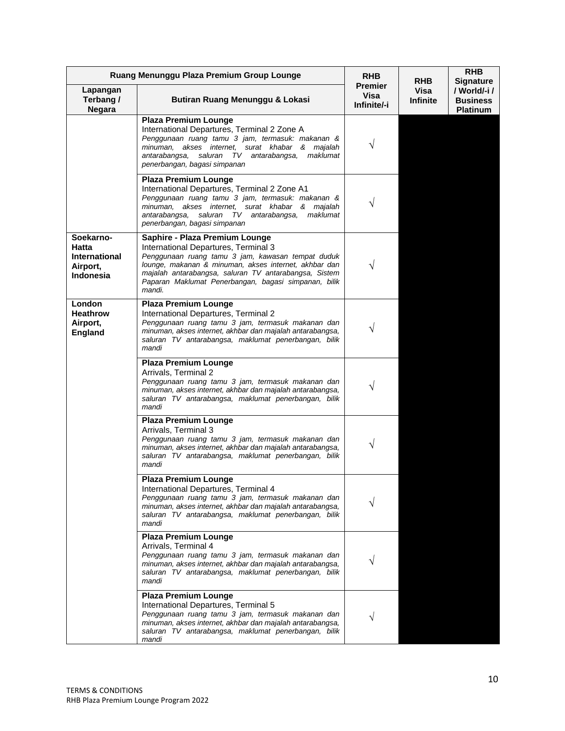| Ruang Menunggu Plaza Premium Group Lounge                                  |                                                                                                                                                                                                                                                                                                                 | <b>RHB</b>                            | <b>RHB</b>              | <b>RHB</b><br><b>Signature</b>                    |
|----------------------------------------------------------------------------|-----------------------------------------------------------------------------------------------------------------------------------------------------------------------------------------------------------------------------------------------------------------------------------------------------------------|---------------------------------------|-------------------------|---------------------------------------------------|
| Lapangan<br>Terbang /<br><b>Negara</b>                                     | Butiran Ruang Menunggu & Lokasi                                                                                                                                                                                                                                                                                 | <b>Premier</b><br>Visa<br>Infinite/-i | Visa<br><b>Infinite</b> | / World/-i/<br><b>Business</b><br><b>Platinum</b> |
|                                                                            | <b>Plaza Premium Lounge</b><br>International Departures, Terminal 2 Zone A<br>Penggunaan ruang tamu 3 jam, termasuk: makanan &<br>minuman, akses internet, surat khabar & majalah<br>maklumat<br>antarabangsa,<br>saluran TV antarabangsa,<br>penerbangan, bagasi simpanan                                      | V                                     |                         |                                                   |
|                                                                            | <b>Plaza Premium Lounge</b><br>International Departures, Terminal 2 Zone A1<br>Penggunaan ruang tamu 3 jam, termasuk: makanan &<br>minuman, akses internet, surat khabar & majalah<br>antarabangsa, saluran TV antarabangsa,<br>maklumat<br>penerbangan, bagasi simpanan                                        |                                       |                         |                                                   |
| Soekarno-<br>Hatta<br><b>International</b><br>Airport,<br><b>Indonesia</b> | Saphire - Plaza Premium Lounge<br>International Departures, Terminal 3<br>Penggunaan ruang tamu 3 jam, kawasan tempat duduk<br>lounge, makanan & minuman, akses internet, akhbar dan<br>majalah antarabangsa, saluran TV antarabangsa, Sistem<br>Paparan Maklumat Penerbangan, bagasi simpanan, bilik<br>mandi. |                                       |                         |                                                   |
| London<br><b>Heathrow</b><br>Airport,<br><b>England</b>                    | <b>Plaza Premium Lounge</b><br>International Departures, Terminal 2<br>Penggunaan ruang tamu 3 jam, termasuk makanan dan<br>minuman, akses internet, akhbar dan majalah antarabangsa,<br>saluran TV antarabangsa, maklumat penerbangan, bilik<br>mandi                                                          | ٦                                     |                         |                                                   |
|                                                                            | <b>Plaza Premium Lounge</b><br>Arrivals, Terminal 2<br>Penggunaan ruang tamu 3 jam, termasuk makanan dan<br>minuman, akses internet, akhbar dan majalah antarabangsa,<br>saluran TV antarabangsa, maklumat penerbangan, bilik<br>mandi                                                                          | V                                     |                         |                                                   |
|                                                                            | <b>Plaza Premium Lounge</b><br>Arrivals, Terminal 3<br>Penggunaan ruang tamu 3 jam, termasuk makanan dan<br>minuman, akses internet, akhbar dan majalah antarabangsa,<br>saluran TV antarabangsa, maklumat penerbangan, bilik<br>mandi                                                                          | V                                     |                         |                                                   |
|                                                                            | <b>Plaza Premium Lounge</b><br>International Departures, Terminal 4<br>Penggunaan ruang tamu 3 jam, termasuk makanan dan<br>minuman, akses internet, akhbar dan majalah antarabangsa,<br>saluran TV antarabangsa, maklumat penerbangan, bilik<br>mandi                                                          |                                       |                         |                                                   |
|                                                                            | <b>Plaza Premium Lounge</b><br>Arrivals, Terminal 4<br>Penggunaan ruang tamu 3 jam, termasuk makanan dan<br>minuman, akses internet, akhbar dan majalah antarabangsa,<br>saluran TV antarabangsa, maklumat penerbangan, bilik<br>mandi                                                                          |                                       |                         |                                                   |
|                                                                            | <b>Plaza Premium Lounge</b><br>International Departures, Terminal 5<br>Penggunaan ruang tamu 3 jam, termasuk makanan dan<br>minuman, akses internet, akhbar dan majalah antarabangsa,<br>saluran TV antarabangsa, maklumat penerbangan, bilik<br>mandi                                                          |                                       |                         |                                                   |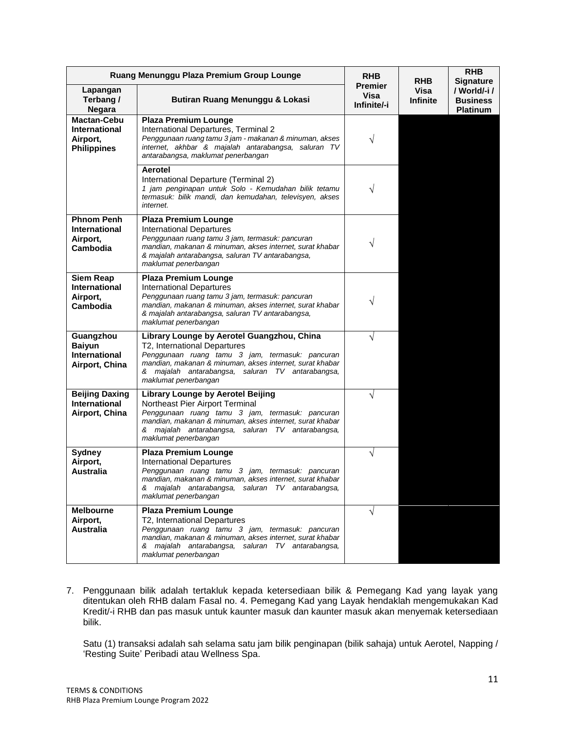|                                                                              | Ruang Menunggu Plaza Premium Group Lounge                                                                                                                                                                                                                              | <b>RHB</b>                            | <b>RHB</b>       | <b>RHB</b><br><b>Signature</b>                     |
|------------------------------------------------------------------------------|------------------------------------------------------------------------------------------------------------------------------------------------------------------------------------------------------------------------------------------------------------------------|---------------------------------------|------------------|----------------------------------------------------|
| Lapangan<br>Terbang /<br><b>Negara</b>                                       | Butiran Ruang Menunggu & Lokasi                                                                                                                                                                                                                                        | <b>Premier</b><br>Visa<br>Infinite/-i | Visa<br>Infinite | / World/-i /<br><b>Business</b><br><b>Platinum</b> |
| <b>Mactan-Cebu</b><br><b>International</b><br>Airport,<br><b>Philippines</b> | <b>Plaza Premium Lounge</b><br>International Departures, Terminal 2<br>Penggunaan ruang tamu 3 jam - makanan & minuman, akses<br>internet, akhbar & majalah antarabangsa, saluran TV<br>antarabangsa, maklumat penerbangan                                             |                                       |                  |                                                    |
|                                                                              | Aerotel<br>International Departure (Terminal 2)<br>1 jam penginapan untuk Solo - Kemudahan bilik tetamu<br>termasuk: bilik mandi, dan kemudahan, televisyen, akses<br>internet.                                                                                        | V                                     |                  |                                                    |
| <b>Phnom Penh</b><br><b>International</b><br>Airport,<br>Cambodia            | <b>Plaza Premium Lounge</b><br><b>International Departures</b><br>Penggunaan ruang tamu 3 jam, termasuk: pancuran<br>mandian, makanan & minuman, akses internet, surat khabar<br>& majalah antarabangsa, saluran TV antarabangsa,<br>maklumat penerbangan              | V                                     |                  |                                                    |
| <b>Siem Reap</b><br><b>International</b><br>Airport,<br>Cambodia             | <b>Plaza Premium Lounge</b><br><b>International Departures</b><br>Penggunaan ruang tamu 3 jam, termasuk: pancuran<br>mandian, makanan & minuman, akses internet, surat khabar<br>& majalah antarabangsa, saluran TV antarabangsa,<br>maklumat penerbangan              |                                       |                  |                                                    |
| Guangzhou<br><b>Baiyun</b><br><b>International</b><br>Airport, China         | Library Lounge by Aerotel Guangzhou, China<br>T2, International Departures<br>Penggunaan ruang tamu 3 jam, termasuk: pancuran<br>mandian, makanan & minuman, akses internet, surat khabar<br>& majalah antarabangsa, saluran TV antarabangsa,<br>maklumat penerbangan  | N                                     |                  |                                                    |
| <b>Beijing Daxing</b><br><b>International</b><br>Airport, China              | <b>Library Lounge by Aerotel Beijing</b><br>Northeast Pier Airport Terminal<br>Penggunaan ruang tamu 3 jam, termasuk: pancuran<br>mandian, makanan & minuman, akses internet, surat khabar<br>& majalah antarabangsa, saluran TV antarabangsa,<br>maklumat penerbangan | V                                     |                  |                                                    |
| <b>Sydney</b><br>Airport,<br><b>Australia</b>                                | <b>Plaza Premium Lounge</b><br><b>International Departures</b><br>Penggunaan ruang tamu 3 jam, termasuk: pancuran<br>mandian, makanan & minuman, akses internet, surat khabar<br>& majalah antarabangsa, saluran TV antarabangsa,<br>maklumat penerbangan              | V                                     |                  |                                                    |
| <b>Melbourne</b><br>Airport,<br><b>Australia</b>                             | <b>Plaza Premium Lounge</b><br>T2, International Departures<br>Penggunaan ruang tamu 3 jam, termasuk: pancuran<br>mandian, makanan & minuman, akses internet, surat khabar<br>& majalah antarabangsa, saluran TV antarabangsa,<br>maklumat penerbangan                 | V                                     |                  |                                                    |

7. Penggunaan bilik adalah tertakluk kepada ketersediaan bilik & Pemegang Kad yang layak yang ditentukan oleh RHB dalam Fasal no. 4. Pemegang Kad yang Layak hendaklah mengemukakan Kad Kredit/-i RHB dan pas masuk untuk kaunter masuk dan kaunter masuk akan menyemak ketersediaan bilik.

Satu (1) transaksi adalah sah selama satu jam bilik penginapan (bilik sahaja) untuk Aerotel, Napping / 'Resting Suite' Peribadi atau Wellness Spa.